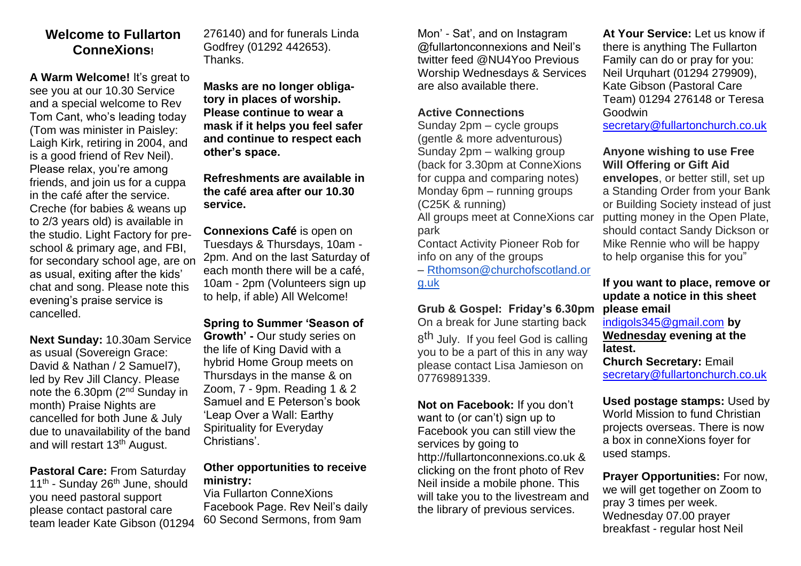# **Welcome to Fullarton ConneXions!**

**A Warm Welcome!** It's great to see you at our 10.30 Service and a special welcome to Rev Tom Cant, who's leading today (Tom was minister in Paisley: Laigh Kirk, retiring in 2004, and is a good friend of Rev Neil). Please relax, you're among friends, and join us for a cuppa in the café after the service. Creche (for babies & weans up to 2/3 years old) is available in the studio. Light Factory for preschool & primary age, and FBI, for secondary school age, are on as usual, exiting after the kids' chat and song. Please note this evening's praise service is cancelled.

**Next Sunday:** 10.30am Service as usual (Sovereign Grace: David & Nathan / 2 Samuel7), led by Rev Jill Clancy. Please note the 6.30pm (2nd Sunday in month) Praise Nights are cancelled for both June & July due to unavailability of the band and will restart 13th August.

**Pastoral Care:** From Saturday 11<sup>th</sup> - Sunday 26<sup>th</sup> June, should you need pastoral support please contact pastoral care team leader Kate Gibson (01294 276140) and for funerals Linda Godfrey (01292 442653). Thanks.

**Masks are no longer obligatory in places of worship. Please continue to wear a mask if it helps you feel safer and continue to respect each other's space.** 

**Refreshments are available in the café area after our 10.30 service.** 

**Connexions Café** is open on Tuesdays & Thursdays, 10am - 2pm. And on the last Saturday of each month there will be a café, 10am - 2pm (Volunteers sign up to help, if able) All Welcome!

**Spring to Summer 'Season of Growth' -** Our study series on the life of King David with a hybrid Home Group meets on Thursdays in the manse & on Zoom, 7 - 9pm. Reading 1 & 2 Samuel and E Peterson's book 'Leap Over a Wall: Earthy Spirituality for Everyday Christians'.

## **Other opportunities to receive ministry:**

Via Fullarton ConneXions Facebook Page. Rev Neil's daily 60 Second Sermons, from 9am

Mon' - Sat', and on Instagram @fullartonconnexions and Neil's twitter feed @NU4Yoo Previous Worship Wednesdays & Services are also available there.

#### **Active Connections**

Sunday 2pm – cycle groups (gentle & more adventurous) Sunday 2pm – walking group (back for 3.30pm at ConneXions for cuppa and comparing notes) Monday 6pm – running groups (C25K & running)

All groups meet at ConneXions car park

Contact Activity Pioneer Rob for info on any of the groups

– [Rthomson@churchofscotland.or](mailto:Rthomson@churchofscotland.org.uk) [g.uk](mailto:Rthomson@churchofscotland.org.uk)

## **Grub & Gospel: Friday's 6.30pm**

On a break for June starting back 8<sup>th</sup> July. If you feel God is calling you to be a part of this in any way please contact Lisa Jamieson on 07769891339.

**Not on Facebook:** If you don't want to (or can't) sign up to Facebook you can still view the services by going to http://fullartonconnexions.co.uk & clicking on the front photo of Rev Neil inside a mobile phone. This will take you to the livestream and the library of previous services.

At Your Service: Let us know if there is anything The Fullarton Family can do or pray for you: Neil Urquhart (01294 279909), Kate Gibson (Pastoral Care Team) 01294 276148 or Teresa Goodwin

[secretary@fullartonchurch.co.uk](mailto:secretary@fullartonchurch.co.uk)

#### **Anyone wishing to use Free Will Offering or Gift Aid**

**envelopes**, or better still, set up a Standing Order from your Bank or Building Society instead of just putting money in the Open Plate, should contact Sandy Dickson or Mike Rennie who will be happy to help organise this for you"

## **If you want to place, remove or update a notice in this sheet please email**

[indigols345@gmail.com](mailto:indigols345@gmail.com) **by Wednesday evening at the latest.**

**Church Secretary:** Email [secretary@fullartonchurch.co.uk](mailto:secretary@fullartonchurch.co.uk)

**Used postage stamps:** Used by World Mission to fund Christian projects overseas. There is now a box in conneXions foyer for used stamps.

**Prayer Opportunities:** For now, we will get together on Zoom to pray 3 times per week. Wednesday 07.00 prayer breakfast - regular host Neil